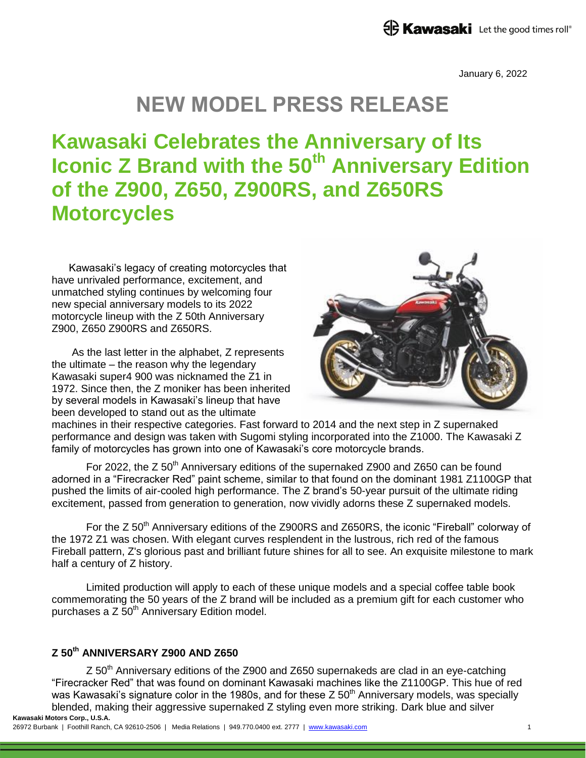January 6, 2022

# **NEW MODEL PRESS RELEASE**

# **Kawasaki Celebrates the Anniversary of Its Iconic Z Brand with the 50th Anniversary Edition of the Z900, Z650, Z900RS, and Z650RS Motorcycles**

Kawasaki's legacy of creating motorcycles that have unrivaled performance, excitement, and unmatched styling continues by welcoming four new special anniversary models to its 2022 motorcycle lineup with the Z 50th Anniversary Z900, Z650 Z900RS and Z650RS.

As the last letter in the alphabet, Z represents the ultimate – the reason why the legendary Kawasaki super4 900 was nicknamed the Z1 in 1972. Since then, the Z moniker has been inherited by several models in Kawasaki's lineup that have been developed to stand out as the ultimate



machines in their respective categories. Fast forward to 2014 and the next step in Z supernaked performance and design was taken with Sugomi styling incorporated into the Z1000. The Kawasaki Z family of motorcycles has grown into one of Kawasaki's core motorcycle brands.

For 2022, the  $Z$  50<sup>th</sup> Anniversary editions of the supernaked Z900 and Z650 can be found adorned in a "Firecracker Red" paint scheme, similar to that found on the dominant 1981 Z1100GP that pushed the limits of air-cooled high performance. The Z brand's 50-year pursuit of the ultimate riding excitement, passed from generation to generation, now vividly adorns these Z supernaked models.

For the Z 50<sup>th</sup> Anniversary editions of the Z900RS and Z650RS, the iconic "Fireball" colorway of the 1972 Z1 was chosen. With elegant curves resplendent in the lustrous, rich red of the famous Fireball pattern, Z's glorious past and brilliant future shines for all to see. An exquisite milestone to mark half a century of Z history.

Limited production will apply to each of these unique models and a special coffee table book commemorating the 50 years of the Z brand will be included as a premium gift for each customer who purchases a Z 50<sup>th</sup> Anniversary Edition model.

## **Z 50th ANNIVERSARY Z900 AND Z650**

**Kawasaki Motors Corp., U.S.A.** Z 50<sup>th</sup> Anniversary editions of the Z900 and Z650 supernakeds are clad in an eye-catching "Firecracker Red" that was found on dominant Kawasaki machines like the Z1100GP. This hue of red was Kawasaki's signature color in the 1980s, and for these  $Z 50<sup>th</sup>$  Anniversary models, was specially blended, making their aggressive supernaked Z styling even more striking. Dark blue and silver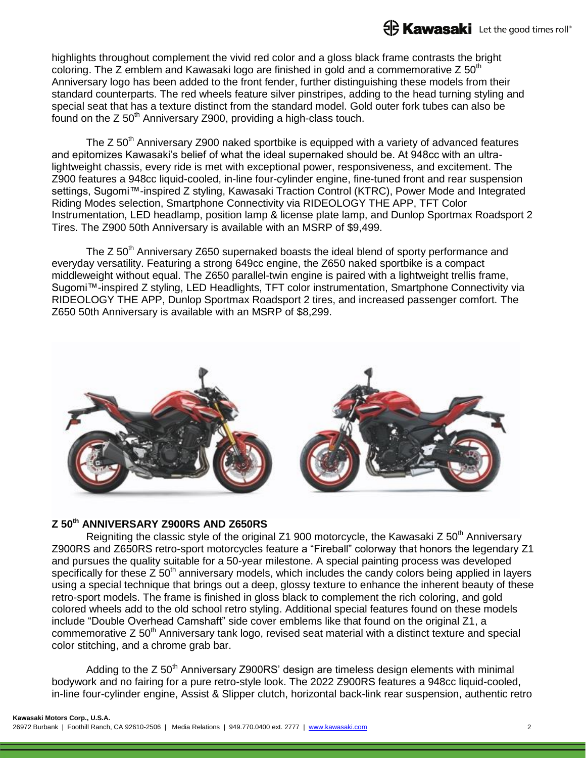

highlights throughout complement the vivid red color and a gloss black frame contrasts the bright coloring. The Z emblem and Kawasaki logo are finished in gold and a commemorative Z  $50<sup>th</sup>$ Anniversary logo has been added to the front fender, further distinguishing these models from their standard counterparts. The red wheels feature silver pinstripes, adding to the head turning styling and special seat that has a texture distinct from the standard model. Gold outer fork tubes can also be found on the  $Z 50<sup>th</sup>$  Anniversary Z900, providing a high-class touch.

The  $Z$  50<sup>th</sup> Anniversary Z900 naked sportbike is equipped with a variety of advanced features and epitomizes Kawasaki's belief of what the ideal supernaked should be. At 948cc with an ultralightweight chassis, every ride is met with exceptional power, responsiveness, and excitement. The Z900 features a 948cc liquid-cooled, in-line four-cylinder engine, fine-tuned front and rear suspension settings, Sugomi™-inspired Z styling, Kawasaki Traction Control (KTRC), Power Mode and Integrated Riding Modes selection, Smartphone Connectivity via RIDEOLOGY THE APP, TFT Color Instrumentation, LED headlamp, position lamp & license plate lamp, and Dunlop Sportmax Roadsport 2 Tires. The Z900 50th Anniversary is available with an MSRP of \$9,499.

The Z  $50<sup>th</sup>$  Anniversary Z650 supernaked boasts the ideal blend of sporty performance and everyday versatility. Featuring a strong 649cc engine, the Z650 naked sportbike is a compact middleweight without equal. The Z650 parallel-twin engine is paired with a lightweight trellis frame, Sugomi™-inspired Z styling, LED Headlights, TFT color instrumentation, Smartphone Connectivity via RIDEOLOGY THE APP, Dunlop Sportmax Roadsport 2 tires, and increased passenger comfort. The Z650 50th Anniversary is available with an MSRP of \$8,299.



### **Z 50th ANNIVERSARY Z900RS AND Z650RS**

Reigniting the classic style of the original Z1 900 motorcycle, the Kawasaki Z  $50<sup>th</sup>$  Anniversary Z900RS and Z650RS retro-sport motorcycles feature a "Fireball" colorway that honors the legendary Z1 and pursues the quality suitable for a 50-year milestone. A special painting process was developed specifically for these  $Z$  50<sup>th</sup> anniversary models, which includes the candy colors being applied in layers using a special technique that brings out a deep, glossy texture to enhance the inherent beauty of these retro-sport models. The frame is finished in gloss black to complement the rich coloring, and gold colored wheels add to the old school retro styling. Additional special features found on these models include "Double Overhead Camshaft" side cover emblems like that found on the original Z1, a commemorative Z 50<sup>th</sup> Anniversary tank logo, revised seat material with a distinct texture and special color stitching, and a chrome grab bar.

Adding to the  $Z$  50<sup>th</sup> Anniversary Z900RS' design are timeless design elements with minimal bodywork and no fairing for a pure retro-style look. The 2022 Z900RS features a 948cc liquid-cooled, in-line four-cylinder engine, Assist & Slipper clutch, horizontal back-link rear suspension, authentic retro